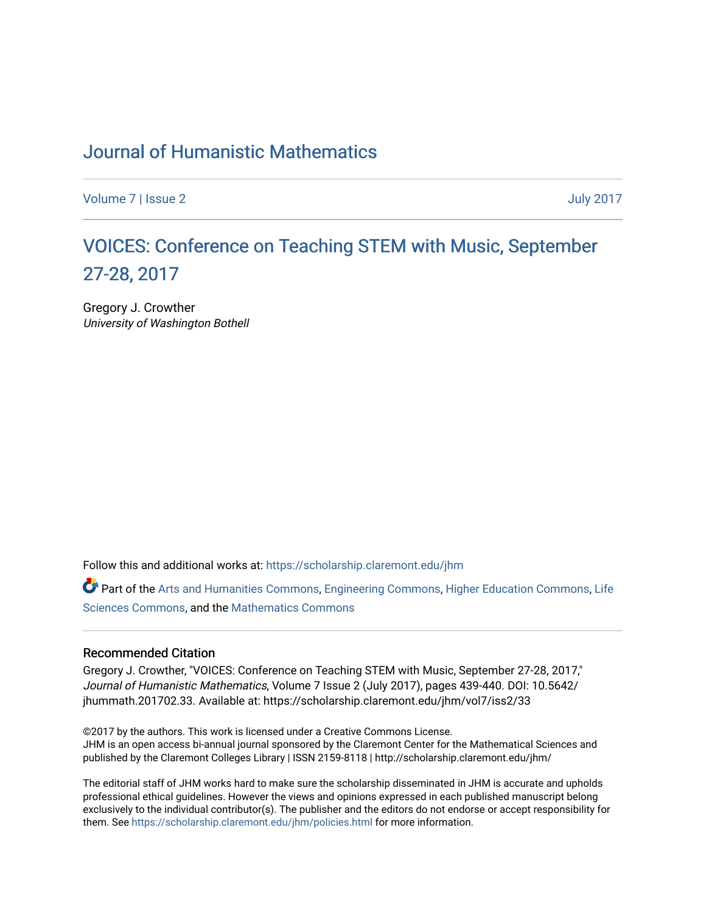### [Journal of Humanistic Mathematics](https://scholarship.claremont.edu/jhm)

[Volume 7](https://scholarship.claremont.edu/jhm/vol7) | [Issue 2](https://scholarship.claremont.edu/jhm/vol7/iss2) July 2017

## [VOICES: Conference on Teaching STEM with Music, September](https://scholarship.claremont.edu/jhm/vol7/iss2/33) [27-28, 2017](https://scholarship.claremont.edu/jhm/vol7/iss2/33)

Gregory J. Crowther University of Washington Bothell

Follow this and additional works at: [https://scholarship.claremont.edu/jhm](https://scholarship.claremont.edu/jhm?utm_source=scholarship.claremont.edu%2Fjhm%2Fvol7%2Fiss2%2F33&utm_medium=PDF&utm_campaign=PDFCoverPages)

Part of the [Arts and Humanities Commons,](http://network.bepress.com/hgg/discipline/438?utm_source=scholarship.claremont.edu%2Fjhm%2Fvol7%2Fiss2%2F33&utm_medium=PDF&utm_campaign=PDFCoverPages) [Engineering Commons](http://network.bepress.com/hgg/discipline/217?utm_source=scholarship.claremont.edu%2Fjhm%2Fvol7%2Fiss2%2F33&utm_medium=PDF&utm_campaign=PDFCoverPages), [Higher Education Commons](http://network.bepress.com/hgg/discipline/1245?utm_source=scholarship.claremont.edu%2Fjhm%2Fvol7%2Fiss2%2F33&utm_medium=PDF&utm_campaign=PDFCoverPages), [Life](http://network.bepress.com/hgg/discipline/1016?utm_source=scholarship.claremont.edu%2Fjhm%2Fvol7%2Fiss2%2F33&utm_medium=PDF&utm_campaign=PDFCoverPages) [Sciences Commons,](http://network.bepress.com/hgg/discipline/1016?utm_source=scholarship.claremont.edu%2Fjhm%2Fvol7%2Fiss2%2F33&utm_medium=PDF&utm_campaign=PDFCoverPages) and the [Mathematics Commons](http://network.bepress.com/hgg/discipline/174?utm_source=scholarship.claremont.edu%2Fjhm%2Fvol7%2Fiss2%2F33&utm_medium=PDF&utm_campaign=PDFCoverPages) 

#### Recommended Citation

Gregory J. Crowther, "VOICES: Conference on Teaching STEM with Music, September 27-28, 2017," Journal of Humanistic Mathematics, Volume 7 Issue 2 (July 2017), pages 439-440. DOI: 10.5642/ jhummath.201702.33. Available at: https://scholarship.claremont.edu/jhm/vol7/iss2/33

©2017 by the authors. This work is licensed under a Creative Commons License. JHM is an open access bi-annual journal sponsored by the Claremont Center for the Mathematical Sciences and published by the Claremont Colleges Library | ISSN 2159-8118 | http://scholarship.claremont.edu/jhm/

The editorial staff of JHM works hard to make sure the scholarship disseminated in JHM is accurate and upholds professional ethical guidelines. However the views and opinions expressed in each published manuscript belong exclusively to the individual contributor(s). The publisher and the editors do not endorse or accept responsibility for them. See<https://scholarship.claremont.edu/jhm/policies.html> for more information.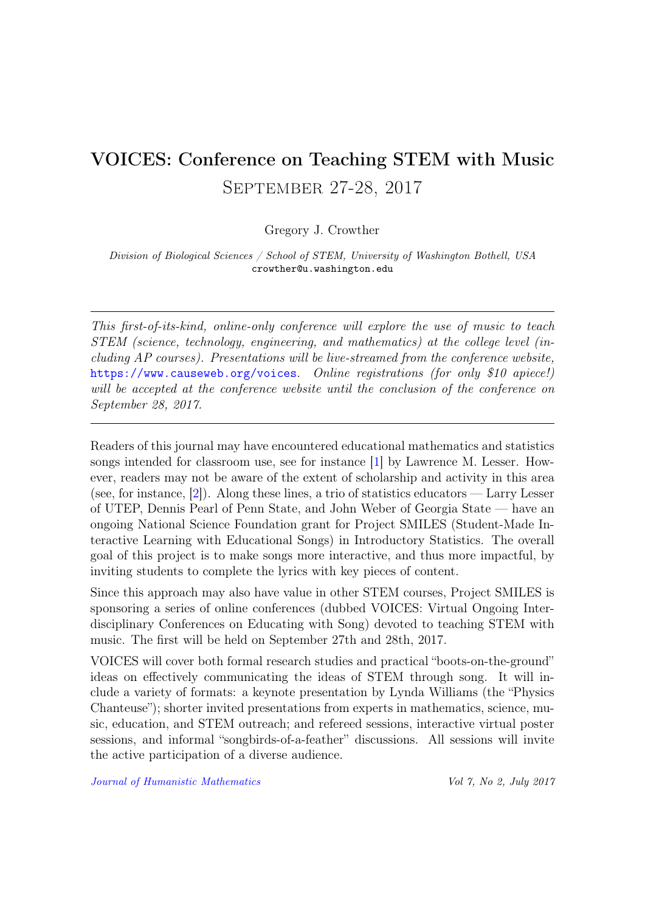# VOICES: Conference on Teaching STEM with Music September 27-28, 2017

Gregory J. Crowther

Division of Biological Sciences / School of STEM, University of Washington Bothell, USA crowther@u.washington.edu

This first-of-its-kind, online-only conference will explore the use of music to teach STEM (science, technology, engineering, and mathematics) at the college level (including AP courses). Presentations will be live-streamed from the conference website, <https://www.causeweb.org/voices>. Online registrations (for only \$10 apiece!) will be accepted at the conference website until the conclusion of the conference on September 28, 2017.

Readers of this journal may have encountered educational mathematics and statistics songs intended for classroom use, see for instance [\[1\]](#page-2-0) by Lawrence M. Lesser. However, readers may not be aware of the extent of scholarship and activity in this area (see, for instance, [\[2\]](#page-2-1)). Along these lines, a trio of statistics educators — Larry Lesser of UTEP, Dennis Pearl of Penn State, and John Weber of Georgia State — have an ongoing National Science Foundation grant for Project SMILES (Student-Made Interactive Learning with Educational Songs) in Introductory Statistics. The overall goal of this project is to make songs more interactive, and thus more impactful, by inviting students to complete the lyrics with key pieces of content.

Since this approach may also have value in other STEM courses, Project SMILES is sponsoring a series of online conferences (dubbed VOICES: Virtual Ongoing Interdisciplinary Conferences on Educating with Song) devoted to teaching STEM with music. The first will be held on September 27th and 28th, 2017.

VOICES will cover both formal research studies and practical "boots-on-the-ground" ideas on effectively communicating the ideas of STEM through song. It will include a variety of formats: a keynote presentation by Lynda Williams (the "Physics Chanteuse"); shorter invited presentations from experts in mathematics, science, music, education, and STEM outreach; and refereed sessions, interactive virtual poster sessions, and informal "songbirds-of-a-feather" discussions. All sessions will invite the active participation of a diverse audience.

[Journal of Humanistic Mathematics](http://scholarship.claremont.edu/jhm/) Vol 7, No 2, July 2017